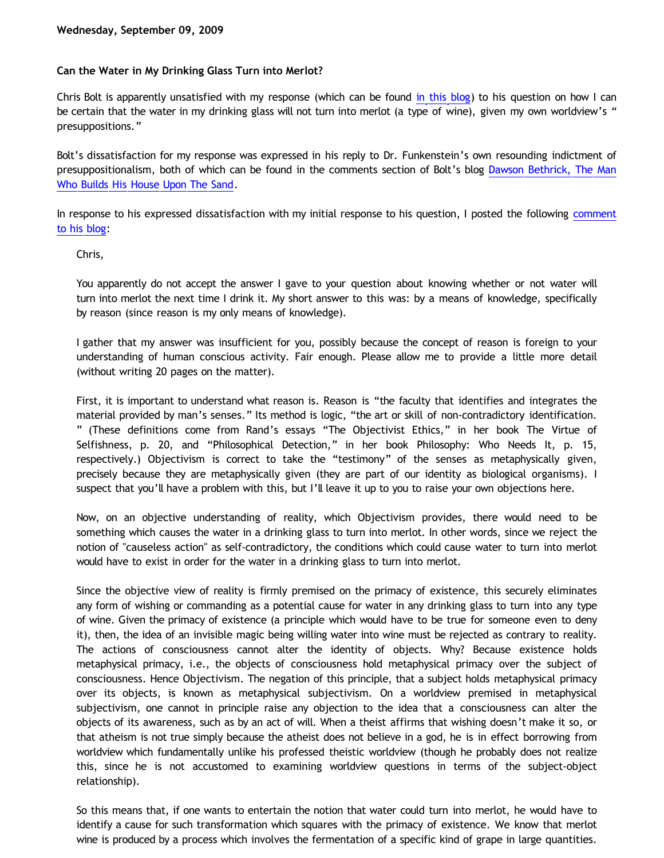### **Can the Water in My Drinking Glass Turn into Merlot?**

Chris Bolt is apparently unsatisfied with my response (which can be found [in this blog](http://bahnsenburner.blogspot.com/2009/09/bolts-loose-screws.html)) to his question on how I can be certain that the water in my drinking glass will not turn into merlot (a type of wine), given my own worldview's " presuppositions."

Bolt's dissatisfaction for my response was expressed in his reply to Dr. Funkenstein's own resounding indictment of presuppositionalism, both of which can be found in the comments section of Bolt's blog [Dawson Bethrick, The Man](http://choosinghats.blogspot.com/2009/09/dawson-bethrick-man-who-builds-his.html) [Who Builds His House Upon The Sand](http://choosinghats.blogspot.com/2009/09/dawson-bethrick-man-who-builds-his.html).

In response to his expressed dissatisfaction with my initial response to his question, I posted the following [comment](http://choosinghats.blogspot.com/2009/09/dawson-bethrick-man-who-builds-his.html) [to his blog](http://choosinghats.blogspot.com/2009/09/dawson-bethrick-man-who-builds-his.html):

Chris,

You apparently do not accept the answer I gave to your question about knowing whether or not water will turn into merlot the next time I drink it. My short answer to this was: by a means of knowledge, specifically by reason (since reason is my only means of knowledge).

I gather that my answer was insufficient for you, possibly because the concept of reason is foreign to your understanding of human conscious activity. Fair enough. Please allow me to provide a little more detail (without writing 20 pages on the matter).

First, it is important to understand what reason is. Reason is "the faculty that identifies and integrates the material provided by man's senses." Its method is logic, "the art or skill of non-contradictory identification. " (These definitions come from Rand's essays "The Objectivist Ethics," in her book The Virtue of Selfishness, p. 20, and "Philosophical Detection," in her book Philosophy: Who Needs It, p. 15, respectively.) Objectivism is correct to take the "testimony" of the senses as metaphysically given, precisely because they are metaphysically given (they are part of our identity as biological organisms). I suspect that you'll have a problem with this, but I'll leave it up to you to raise your own objections here.

Now, on an objective understanding of reality, which Objectivism provides, there would need to be something which causes the water in a drinking glass to turn into merlot. In other words, since we reject the notion of "causeless action" as self-contradictory, the conditions which could cause water to turn into merlot would have to exist in order for the water in a drinking glass to turn into merlot.

Since the objective view of reality is firmly premised on the primacy of existence, this securely eliminates any form of wishing or commanding as a potential cause for water in any drinking glass to turn into any type of wine. Given the primacy of existence (a principle which would have to be true for someone even to deny it), then, the idea of an invisible magic being willing water into wine must be rejected as contrary to reality. The actions of consciousness cannot alter the identity of objects. Why? Because existence holds metaphysical primacy, i.e., the objects of consciousness hold metaphysical primacy over the subject of consciousness. Hence Objectivism. The negation of this principle, that a subject holds metaphysical primacy over its objects, is known as metaphysical subjectivism. On a worldview premised in metaphysical subjectivism, one cannot in principle raise any objection to the idea that a consciousness can alter the objects of its awareness, such as by an act of will. When a theist affirms that wishing doesn't make it so, or that atheism is not true simply because the atheist does not believe in a god, he is in effect borrowing from worldview which fundamentally unlike his professed theistic worldview (though he probably does not realize this, since he is not accustomed to examining worldview questions in terms of the subject-object relationship).

So this means that, if one wants to entertain the notion that water could turn into merlot, he would have to identify a cause for such transformation which squares with the primacy of existence. We know that merlot wine is produced by a process which involves the fermentation of a specific kind of grape in large quantities.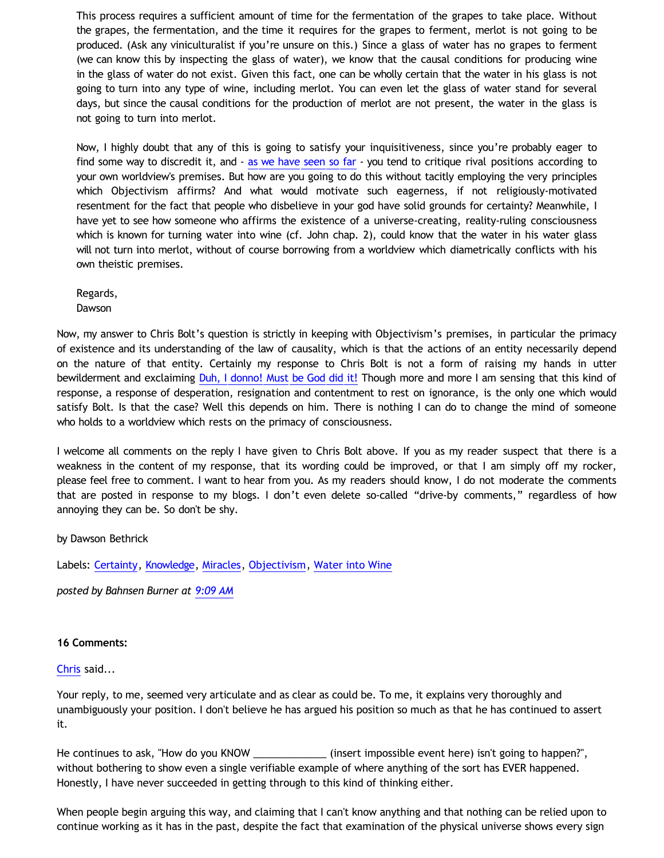This process requires a sufficient amount of time for the fermentation of the grapes to take place. Without the grapes, the fermentation, and the time it requires for the grapes to ferment, merlot is not going to be produced. (Ask any viniculturalist if you're unsure on this.) Since a glass of water has no grapes to ferment (we can know this by inspecting the glass of water), we know that the causal conditions for producing wine in the glass of water do not exist. Given this fact, one can be wholly certain that the water in his glass is not going to turn into any type of wine, including merlot. You can even let the glass of water stand for several days, but since the causal conditions for the production of merlot are not present, the water in the glass is not going to turn into merlot.

Now, I highly doubt that any of this is going to satisfy your inquisitiveness, since you're probably eager to find some way to discredit it, and  $-$  [as we have seen so far](http://bahnsenburner.blogspot.com/2009/09/bolts-loose-screws.html)  $-$  you tend to critique rival positions according to your own worldview's premises. But how are you going to do this without tacitly employing the very principles which Objectivism affirms? And what would motivate such eagerness, if not religiously-motivated resentment for the fact that people who disbelieve in your god have solid grounds for certainty? Meanwhile, I have yet to see how someone who affirms the existence of a universe-creating, reality-ruling consciousness which is known for turning water into wine (cf. John chap. 2), could know that the water in his water glass will not turn into merlot, without of course borrowing from a worldview which diametrically conflicts with his own theistic premises.

Regards, Dawson

Now, my answer to Chris Bolt's question is strictly in keeping with Objectivism's premises, in particular the primacy of existence and its understanding of the law of causality, which is that the actions of an entity necessarily depend on the nature of that entity. Certainly my response to Chris Bolt is not a form of raising my hands in utter bewilderment and exclaiming [Duh, I donno! Must be God did it!](http://www.geocities.com/katholon/duh15.wav) Though more and more I am sensing that this kind of response, a response of desperation, resignation and contentment to rest on ignorance, is the only one which would satisfy Bolt. Is that the case? Well this depends on him. There is nothing I can do to change the mind of someone who holds to a worldview which rests on the primacy of consciousness.

I welcome all comments on the reply I have given to Chris Bolt above. If you as my reader suspect that there is a weakness in the content of my response, that its wording could be improved, or that I am simply off my rocker, please feel free to comment. I want to hear from you. As my readers should know, I do not moderate the comments that are posted in response to my blogs. I don't even delete so-called "drive-by comments," regardless of how annoying they can be. So don't be shy.

by Dawson Bethrick

Labels: [Certainty,](http://bahnsenburner.blogspot.com/search/label/Certainty) [Knowledge](http://bahnsenburner.blogspot.com/search/label/Knowledge), [Miracles,](http://bahnsenburner.blogspot.com/search/label/Miracles) [Objectivism,](http://bahnsenburner.blogspot.com/search/label/Objectivism) [Water into Wine](http://bahnsenburner.blogspot.com/search/label/Water%20into%20Wine)

*posted by Bahnsen Burner at [9:09 AM](http://bahnsenburner.blogspot.com/2009/09/can-water-in-my-drinking-glass-turn.html)*

## **16 Comments:**

#### [Chris](http://www.blogger.com/profile/07742083009211346119) said...

Your reply, to me, seemed very articulate and as clear as could be. To me, it explains very thoroughly and unambiguously your position. I don't believe he has argued his position so much as that he has continued to assert it.

He continues to ask, "How do you KNOW \_\_\_\_\_\_\_\_\_\_\_\_\_\_\_ (insert impossible event here) isn't going to happen?", without bothering to show even a single verifiable example of where anything of the sort has EVER happened. Honestly, I have never succeeded in getting through to this kind of thinking either.

When people begin arguing this way, and claiming that I can't know anything and that nothing can be relied upon to continue working as it has in the past, despite the fact that examination of the physical universe shows every sign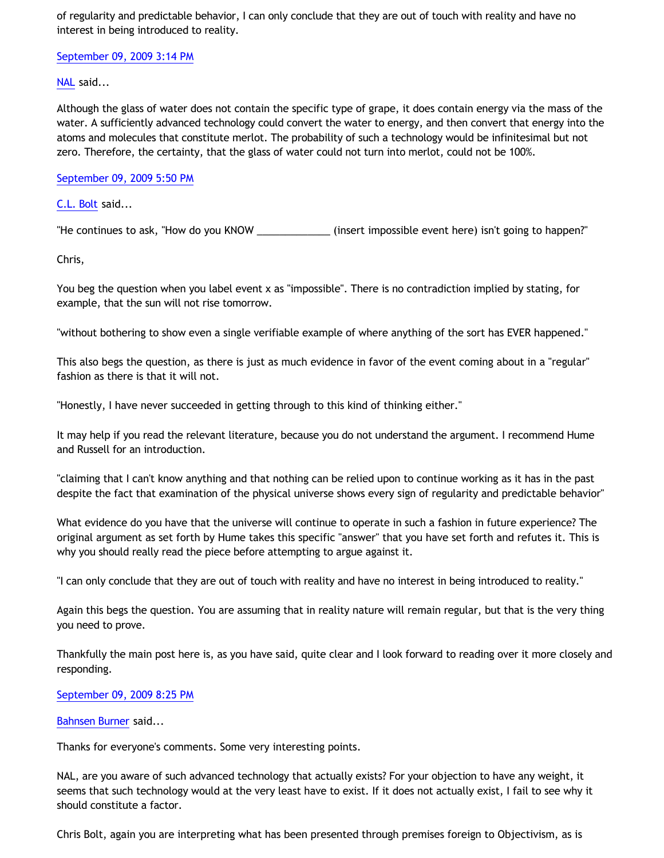of regularity and predictable behavior, I can only conclude that they are out of touch with reality and have no interest in being introduced to reality.

[September 09, 2009 3:14 PM](http://bahnsenburner.blogspot.com/2009/09/2783043347462871037)

[NAL](http://www.blogger.com/profile/12244370945682162312) said...

Although the glass of water does not contain the specific type of grape, it does contain energy via the mass of the water. A sufficiently advanced technology could convert the water to energy, and then convert that energy into the atoms and molecules that constitute merlot. The probability of such a technology would be infinitesimal but not zero. Therefore, the certainty, that the glass of water could not turn into merlot, could not be 100%.

[September 09, 2009 5:50 PM](http://bahnsenburner.blogspot.com/2009/09/2101478499097289704)

[C.L. Bolt](http://www.blogger.com/profile/15797112064238146744) said...

"He continues to ask, "How do you KNOW \_\_\_\_\_\_\_\_\_\_\_\_\_ (insert impossible event here) isn't going to happen?"

Chris,

You beg the question when you label event x as "impossible". There is no contradiction implied by stating, for example, that the sun will not rise tomorrow.

"without bothering to show even a single verifiable example of where anything of the sort has EVER happened."

This also begs the question, as there is just as much evidence in favor of the event coming about in a "regular" fashion as there is that it will not.

"Honestly, I have never succeeded in getting through to this kind of thinking either."

It may help if you read the relevant literature, because you do not understand the argument. I recommend Hume and Russell for an introduction.

"claiming that I can't know anything and that nothing can be relied upon to continue working as it has in the past despite the fact that examination of the physical universe shows every sign of regularity and predictable behavior"

What evidence do you have that the universe will continue to operate in such a fashion in future experience? The original argument as set forth by Hume takes this specific "answer" that you have set forth and refutes it. This is why you should really read the piece before attempting to argue against it.

"I can only conclude that they are out of touch with reality and have no interest in being introduced to reality."

Again this begs the question. You are assuming that in reality nature will remain regular, but that is the very thing you need to prove.

Thankfully the main post here is, as you have said, quite clear and I look forward to reading over it more closely and responding.

# [September 09, 2009 8:25 PM](http://bahnsenburner.blogspot.com/2009/09/1825723557203409105)

## [Bahnsen Burner](http://www.blogger.com/profile/11030029491768748360) said...

Thanks for everyone's comments. Some very interesting points.

NAL, are you aware of such advanced technology that actually exists? For your objection to have any weight, it seems that such technology would at the very least have to exist. If it does not actually exist, I fail to see why it should constitute a factor.

Chris Bolt, again you are interpreting what has been presented through premises foreign to Objectivism, as is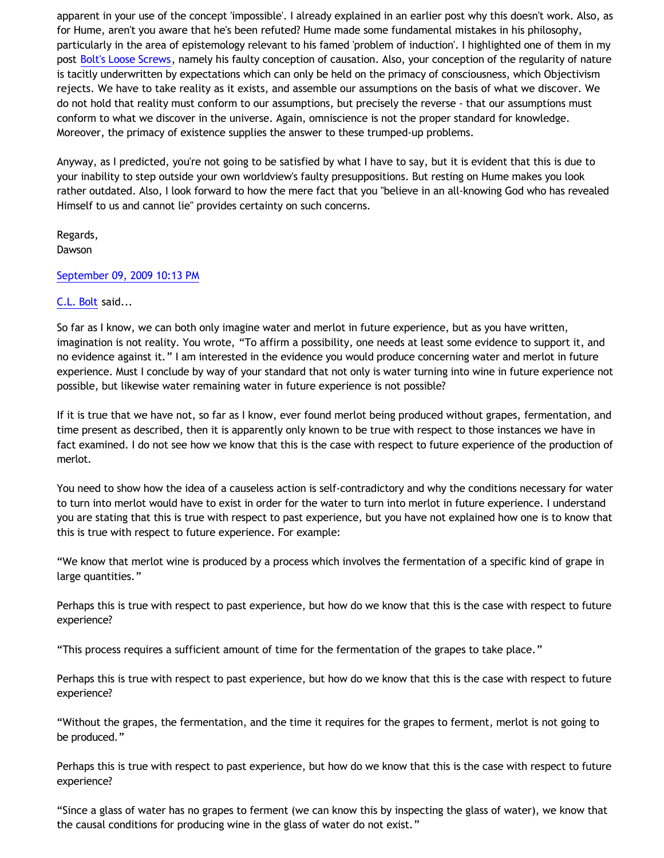apparent in your use of the concept 'impossible'. I already explained in an earlier post why this doesn't work. Also, as for Hume, aren't you aware that he's been refuted? Hume made some fundamental mistakes in his philosophy, particularly in the area of epistemology relevant to his famed 'problem of induction'. I highlighted one of them in my post [Bolt's Loose Screws](http://bahnsenburner.blogspot.com/2009/09/bolts-loose-screws.html), namely his faulty conception of causation. Also, your conception of the regularity of nature is tacitly underwritten by expectations which can only be held on the primacy of consciousness, which Objectivism rejects. We have to take reality as it exists, and assemble our assumptions on the basis of what we discover. We do not hold that reality must conform to our assumptions, but precisely the reverse - that our assumptions must conform to what we discover in the universe. Again, omniscience is not the proper standard for knowledge. Moreover, the primacy of existence supplies the answer to these trumped-up problems.

Anyway, as I predicted, you're not going to be satisfied by what I have to say, but it is evident that this is due to your inability to step outside your own worldview's faulty presuppositions. But resting on Hume makes you look rather outdated. Also, I look forward to how the mere fact that you "believe in an all-knowing God who has revealed Himself to us and cannot lie" provides certainty on such concerns.

Regards, Dawson

## [September 09, 2009 10:13 PM](http://bahnsenburner.blogspot.com/2009/09/373091128139488795)

## [C.L. Bolt](http://www.blogger.com/profile/15797112064238146744) said...

So far as I know, we can both only imagine water and merlot in future experience, but as you have written, imagination is not reality. You wrote, "To affirm a possibility, one needs at least some evidence to support it, and no evidence against it." I am interested in the evidence you would produce concerning water and merlot in future experience. Must I conclude by way of your standard that not only is water turning into wine in future experience not possible, but likewise water remaining water in future experience is not possible?

If it is true that we have not, so far as I know, ever found merlot being produced without grapes, fermentation, and time present as described, then it is apparently only known to be true with respect to those instances we have in fact examined. I do not see how we know that this is the case with respect to future experience of the production of merlot.

You need to show how the idea of a causeless action is self-contradictory and why the conditions necessary for water to turn into merlot would have to exist in order for the water to turn into merlot in future experience. I understand you are stating that this is true with respect to past experience, but you have not explained how one is to know that this is true with respect to future experience. For example:

"We know that merlot wine is produced by a process which involves the fermentation of a specific kind of grape in large quantities."

Perhaps this is true with respect to past experience, but how do we know that this is the case with respect to future experience?

"This process requires a sufficient amount of time for the fermentation of the grapes to take place."

Perhaps this is true with respect to past experience, but how do we know that this is the case with respect to future experience?

"Without the grapes, the fermentation, and the time it requires for the grapes to ferment, merlot is not going to be produced."

Perhaps this is true with respect to past experience, but how do we know that this is the case with respect to future experience?

"Since a glass of water has no grapes to ferment (we can know this by inspecting the glass of water), we know that the causal conditions for producing wine in the glass of water do not exist."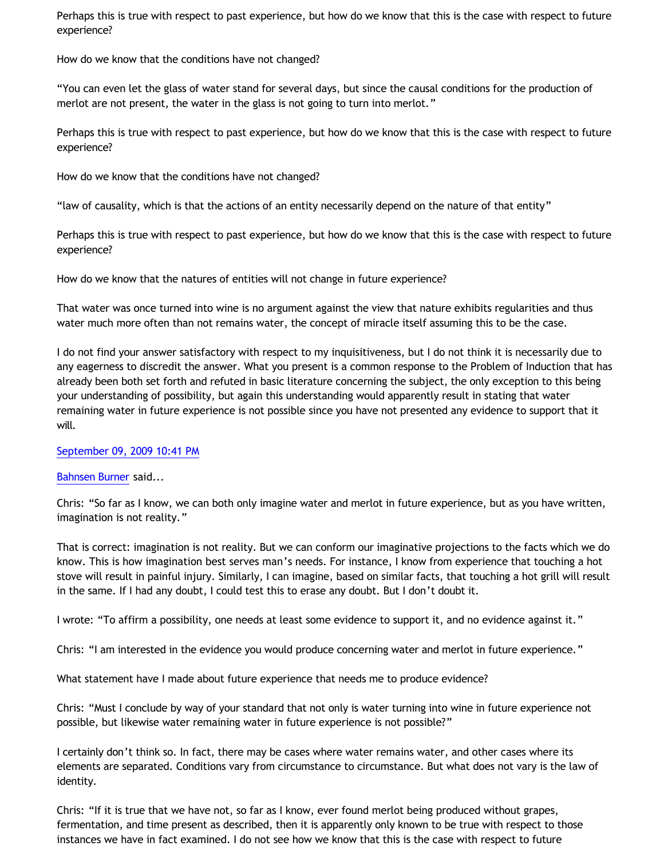Perhaps this is true with respect to past experience, but how do we know that this is the case with respect to future experience?

How do we know that the conditions have not changed?

"You can even let the glass of water stand for several days, but since the causal conditions for the production of merlot are not present, the water in the glass is not going to turn into merlot."

Perhaps this is true with respect to past experience, but how do we know that this is the case with respect to future experience?

How do we know that the conditions have not changed?

"law of causality, which is that the actions of an entity necessarily depend on the nature of that entity"

Perhaps this is true with respect to past experience, but how do we know that this is the case with respect to future experience?

How do we know that the natures of entities will not change in future experience?

That water was once turned into wine is no argument against the view that nature exhibits regularities and thus water much more often than not remains water, the concept of miracle itself assuming this to be the case.

I do not find your answer satisfactory with respect to my inquisitiveness, but I do not think it is necessarily due to any eagerness to discredit the answer. What you present is a common response to the Problem of Induction that has already been both set forth and refuted in basic literature concerning the subject, the only exception to this being your understanding of possibility, but again this understanding would apparently result in stating that water remaining water in future experience is not possible since you have not presented any evidence to support that it will.

#### [September 09, 2009 10:41 PM](http://bahnsenburner.blogspot.com/2009/09/294647023384882333)

#### [Bahnsen Burner](http://www.blogger.com/profile/11030029491768748360) said...

Chris: "So far as I know, we can both only imagine water and merlot in future experience, but as you have written, imagination is not reality."

That is correct: imagination is not reality. But we can conform our imaginative projections to the facts which we do know. This is how imagination best serves man's needs. For instance, I know from experience that touching a hot stove will result in painful injury. Similarly, I can imagine, based on similar facts, that touching a hot grill will result in the same. If I had any doubt, I could test this to erase any doubt. But I don't doubt it.

I wrote: "To affirm a possibility, one needs at least some evidence to support it, and no evidence against it."

Chris: "I am interested in the evidence you would produce concerning water and merlot in future experience."

What statement have I made about future experience that needs me to produce evidence?

Chris: "Must I conclude by way of your standard that not only is water turning into wine in future experience not possible, but likewise water remaining water in future experience is not possible?"

I certainly don't think so. In fact, there may be cases where water remains water, and other cases where its elements are separated. Conditions vary from circumstance to circumstance. But what does not vary is the law of identity.

Chris: "If it is true that we have not, so far as I know, ever found merlot being produced without grapes, fermentation, and time present as described, then it is apparently only known to be true with respect to those instances we have in fact examined. I do not see how we know that this is the case with respect to future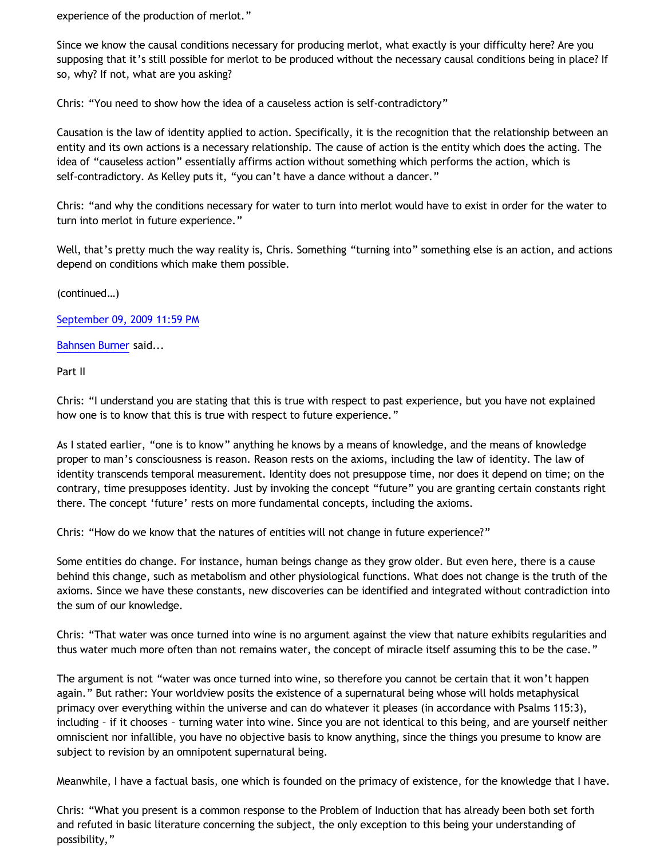experience of the production of merlot."

Since we know the causal conditions necessary for producing merlot, what exactly is your difficulty here? Are you supposing that it's still possible for merlot to be produced without the necessary causal conditions being in place? If so, why? If not, what are you asking?

Chris: "You need to show how the idea of a causeless action is self-contradictory"

Causation is the law of identity applied to action. Specifically, it is the recognition that the relationship between an entity and its own actions is a necessary relationship. The cause of action is the entity which does the acting. The idea of "causeless action" essentially affirms action without something which performs the action, which is self-contradictory. As Kelley puts it, "you can't have a dance without a dancer."

Chris: "and why the conditions necessary for water to turn into merlot would have to exist in order for the water to turn into merlot in future experience."

Well, that's pretty much the way reality is, Chris. Something "turning into" something else is an action, and actions depend on conditions which make them possible.

(continued…)

[September 09, 2009 11:59 PM](http://bahnsenburner.blogspot.com/2009/09/6933611714533686782)

[Bahnsen Burner](http://www.blogger.com/profile/11030029491768748360) said...

Part II

Chris: "I understand you are stating that this is true with respect to past experience, but you have not explained how one is to know that this is true with respect to future experience."

As I stated earlier, "one is to know" anything he knows by a means of knowledge, and the means of knowledge proper to man's consciousness is reason. Reason rests on the axioms, including the law of identity. The law of identity transcends temporal measurement. Identity does not presuppose time, nor does it depend on time; on the contrary, time presupposes identity. Just by invoking the concept "future" you are granting certain constants right there. The concept 'future' rests on more fundamental concepts, including the axioms.

Chris: "How do we know that the natures of entities will not change in future experience?"

Some entities do change. For instance, human beings change as they grow older. But even here, there is a cause behind this change, such as metabolism and other physiological functions. What does not change is the truth of the axioms. Since we have these constants, new discoveries can be identified and integrated without contradiction into the sum of our knowledge.

Chris: "That water was once turned into wine is no argument against the view that nature exhibits regularities and thus water much more often than not remains water, the concept of miracle itself assuming this to be the case."

The argument is not "water was once turned into wine, so therefore you cannot be certain that it won't happen again." But rather: Your worldview posits the existence of a supernatural being whose will holds metaphysical primacy over everything within the universe and can do whatever it pleases (in accordance with Psalms 115:3), including – if it chooses – turning water into wine. Since you are not identical to this being, and are yourself neither omniscient nor infallible, you have no objective basis to know anything, since the things you presume to know are subject to revision by an omnipotent supernatural being.

Meanwhile, I have a factual basis, one which is founded on the primacy of existence, for the knowledge that I have.

Chris: "What you present is a common response to the Problem of Induction that has already been both set forth and refuted in basic literature concerning the subject, the only exception to this being your understanding of possibility,"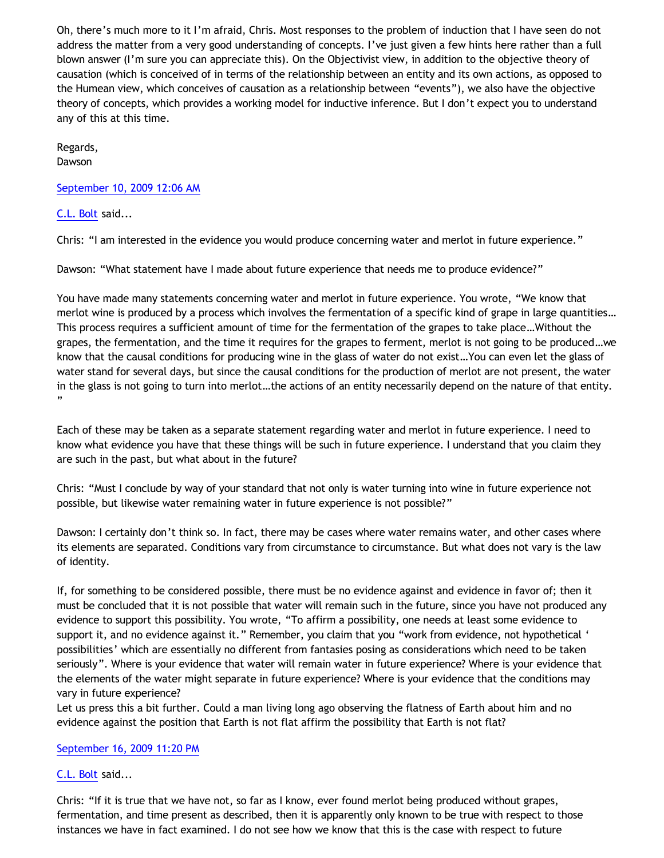Oh, there's much more to it I'm afraid, Chris. Most responses to the problem of induction that I have seen do not address the matter from a very good understanding of concepts. I've just given a few hints here rather than a full blown answer (I'm sure you can appreciate this). On the Objectivist view, in addition to the objective theory of causation (which is conceived of in terms of the relationship between an entity and its own actions, as opposed to the Humean view, which conceives of causation as a relationship between "events"), we also have the objective theory of concepts, which provides a working model for inductive inference. But I don't expect you to understand any of this at this time.

Regards, Dawson

[September 10, 2009 12:06 AM](http://bahnsenburner.blogspot.com/2009/09/5443760926618914731)

[C.L. Bolt](http://www.blogger.com/profile/15797112064238146744) said...

Chris: "I am interested in the evidence you would produce concerning water and merlot in future experience."

Dawson: "What statement have I made about future experience that needs me to produce evidence?"

You have made many statements concerning water and merlot in future experience. You wrote, "We know that merlot wine is produced by a process which involves the fermentation of a specific kind of grape in large quantities… This process requires a sufficient amount of time for the fermentation of the grapes to take place…Without the grapes, the fermentation, and the time it requires for the grapes to ferment, merlot is not going to be produced…we know that the causal conditions for producing wine in the glass of water do not exist…You can even let the glass of water stand for several days, but since the causal conditions for the production of merlot are not present, the water in the glass is not going to turn into merlot…the actions of an entity necessarily depend on the nature of that entity. "

Each of these may be taken as a separate statement regarding water and merlot in future experience. I need to know what evidence you have that these things will be such in future experience. I understand that you claim they are such in the past, but what about in the future?

Chris: "Must I conclude by way of your standard that not only is water turning into wine in future experience not possible, but likewise water remaining water in future experience is not possible?"

Dawson: I certainly don't think so. In fact, there may be cases where water remains water, and other cases where its elements are separated. Conditions vary from circumstance to circumstance. But what does not vary is the law of identity.

If, for something to be considered possible, there must be no evidence against and evidence in favor of; then it must be concluded that it is not possible that water will remain such in the future, since you have not produced any evidence to support this possibility. You wrote, "To affirm a possibility, one needs at least some evidence to support it, and no evidence against it." Remember, you claim that you "work from evidence, not hypothetical ' possibilities' which are essentially no different from fantasies posing as considerations which need to be taken seriously". Where is your evidence that water will remain water in future experience? Where is your evidence that the elements of the water might separate in future experience? Where is your evidence that the conditions may vary in future experience?

Let us press this a bit further. Could a man living long ago observing the flatness of Earth about him and no evidence against the position that Earth is not flat affirm the possibility that Earth is not flat?

# [September 16, 2009 11:20 PM](http://bahnsenburner.blogspot.com/2009/09/3445805967783229371)

[C.L. Bolt](http://www.blogger.com/profile/15797112064238146744) said...

Chris: "If it is true that we have not, so far as I know, ever found merlot being produced without grapes, fermentation, and time present as described, then it is apparently only known to be true with respect to those instances we have in fact examined. I do not see how we know that this is the case with respect to future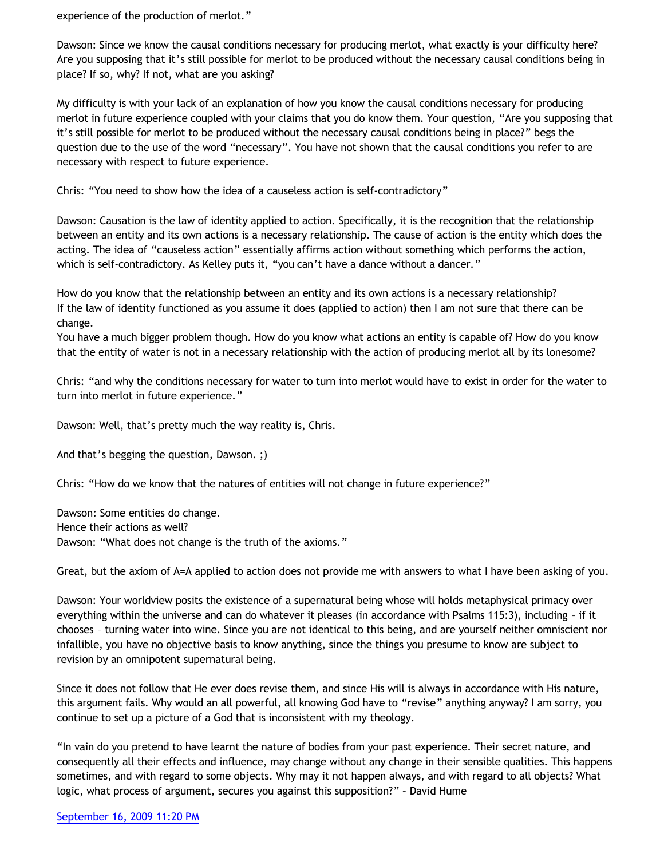experience of the production of merlot."

Dawson: Since we know the causal conditions necessary for producing merlot, what exactly is your difficulty here? Are you supposing that it's still possible for merlot to be produced without the necessary causal conditions being in place? If so, why? If not, what are you asking?

My difficulty is with your lack of an explanation of how you know the causal conditions necessary for producing merlot in future experience coupled with your claims that you do know them. Your question, "Are you supposing that it's still possible for merlot to be produced without the necessary causal conditions being in place?" begs the question due to the use of the word "necessary". You have not shown that the causal conditions you refer to are necessary with respect to future experience.

Chris: "You need to show how the idea of a causeless action is self-contradictory"

Dawson: Causation is the law of identity applied to action. Specifically, it is the recognition that the relationship between an entity and its own actions is a necessary relationship. The cause of action is the entity which does the acting. The idea of "causeless action" essentially affirms action without something which performs the action, which is self-contradictory. As Kelley puts it, "you can't have a dance without a dancer."

How do you know that the relationship between an entity and its own actions is a necessary relationship? If the law of identity functioned as you assume it does (applied to action) then I am not sure that there can be change.

You have a much bigger problem though. How do you know what actions an entity is capable of? How do you know that the entity of water is not in a necessary relationship with the action of producing merlot all by its lonesome?

Chris: "and why the conditions necessary for water to turn into merlot would have to exist in order for the water to turn into merlot in future experience."

Dawson: Well, that's pretty much the way reality is, Chris.

And that's begging the question, Dawson. ;)

Chris: "How do we know that the natures of entities will not change in future experience?"

Dawson: Some entities do change. Hence their actions as well? Dawson: "What does not change is the truth of the axioms."

Great, but the axiom of A=A applied to action does not provide me with answers to what I have been asking of you.

Dawson: Your worldview posits the existence of a supernatural being whose will holds metaphysical primacy over everything within the universe and can do whatever it pleases (in accordance with Psalms 115:3), including – if it chooses – turning water into wine. Since you are not identical to this being, and are yourself neither omniscient nor infallible, you have no objective basis to know anything, since the things you presume to know are subject to revision by an omnipotent supernatural being.

Since it does not follow that He ever does revise them, and since His will is always in accordance with His nature, this argument fails. Why would an all powerful, all knowing God have to "revise" anything anyway? I am sorry, you continue to set up a picture of a God that is inconsistent with my theology.

"In vain do you pretend to have learnt the nature of bodies from your past experience. Their secret nature, and consequently all their effects and influence, may change without any change in their sensible qualities. This happens sometimes, and with regard to some objects. Why may it not happen always, and with regard to all objects? What logic, what process of argument, secures you against this supposition?" – David Hume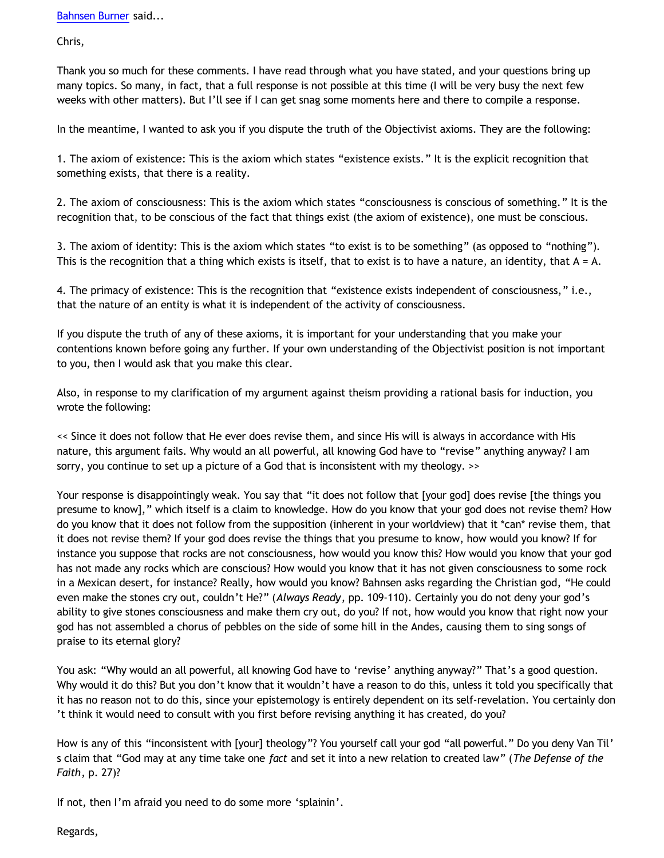Chris,

Thank you so much for these comments. I have read through what you have stated, and your questions bring up many topics. So many, in fact, that a full response is not possible at this time (I will be very busy the next few weeks with other matters). But I'll see if I can get snag some moments here and there to compile a response.

In the meantime, I wanted to ask you if you dispute the truth of the Objectivist axioms. They are the following:

1. The axiom of existence: This is the axiom which states "existence exists." It is the explicit recognition that something exists, that there is a reality.

2. The axiom of consciousness: This is the axiom which states "consciousness is conscious of something." It is the recognition that, to be conscious of the fact that things exist (the axiom of existence), one must be conscious.

3. The axiom of identity: This is the axiom which states "to exist is to be something" (as opposed to "nothing"). This is the recognition that a thing which exists is itself, that to exist is to have a nature, an identity, that  $A = A$ .

4. The primacy of existence: This is the recognition that "existence exists independent of consciousness," i.e., that the nature of an entity is what it is independent of the activity of consciousness.

If you dispute the truth of any of these axioms, it is important for your understanding that you make your contentions known before going any further. If your own understanding of the Objectivist position is not important to you, then I would ask that you make this clear.

Also, in response to my clarification of my argument against theism providing a rational basis for induction, you wrote the following:

<< Since it does not follow that He ever does revise them, and since His will is always in accordance with His nature, this argument fails. Why would an all powerful, all knowing God have to "revise" anything anyway? I am sorry, you continue to set up a picture of a God that is inconsistent with my theology. >>

Your response is disappointingly weak. You say that "it does not follow that [your god] does revise [the things you presume to know]," which itself is a claim to knowledge. How do you know that your god does not revise them? How do you know that it does not follow from the supposition (inherent in your worldview) that it \*can\* revise them, that it does not revise them? If your god does revise the things that you presume to know, how would you know? If for instance you suppose that rocks are not consciousness, how would you know this? How would you know that your god has not made any rocks which are conscious? How would you know that it has not given consciousness to some rock in a Mexican desert, for instance? Really, how would you know? Bahnsen asks regarding the Christian god, "He could even make the stones cry out, couldn't He?" (*Always Ready*, pp. 109-110). Certainly you do not deny your god's ability to give stones consciousness and make them cry out, do you? If not, how would you know that right now your god has not assembled a chorus of pebbles on the side of some hill in the Andes, causing them to sing songs of praise to its eternal glory?

You ask: "Why would an all powerful, all knowing God have to 'revise' anything anyway?" That's a good question. Why would it do this? But you don't know that it wouldn't have a reason to do this, unless it told you specifically that it has no reason not to do this, since your epistemology is entirely dependent on its self-revelation. You certainly don 't think it would need to consult with you first before revising anything it has created, do you?

How is any of this "inconsistent with [your] theology"? You yourself call your god "all powerful." Do you deny Van Til' s claim that "God may at any time take one *fact* and set it into a new relation to created law" (*The Defense of the Faith*, p. 27)?

If not, then I'm afraid you need to do some more 'splainin'.

Regards,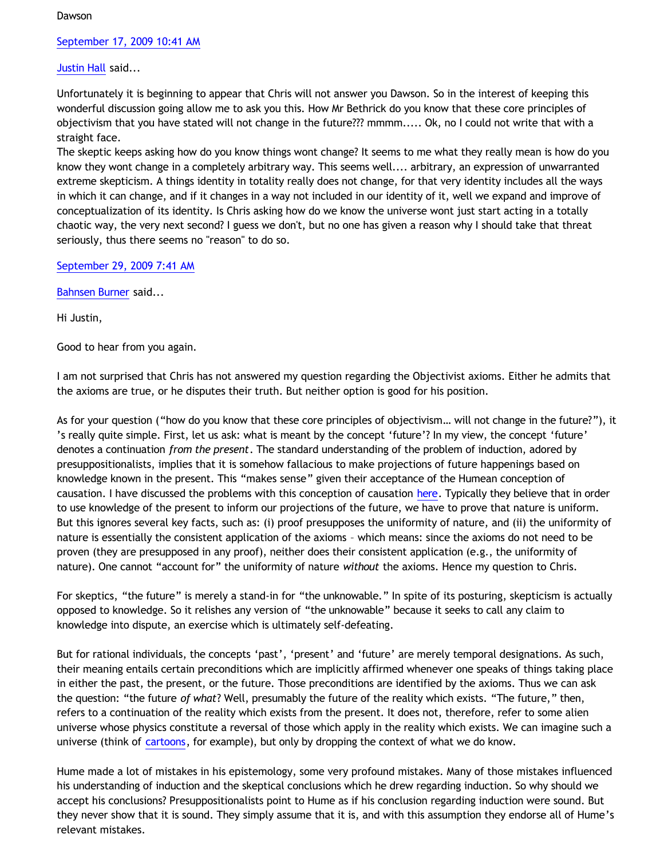Dawson

[September 17, 2009 10:41 AM](http://bahnsenburner.blogspot.com/2009/09/395576416639093494)

[Justin Hall](http://www.blogger.com/profile/17804641315202800289) said...

Unfortunately it is beginning to appear that Chris will not answer you Dawson. So in the interest of keeping this wonderful discussion going allow me to ask you this. How Mr Bethrick do you know that these core principles of objectivism that you have stated will not change in the future??? mmmm..... Ok, no I could not write that with a straight face.

The skeptic keeps asking how do you know things wont change? It seems to me what they really mean is how do you know they wont change in a completely arbitrary way. This seems well.... arbitrary, an expression of unwarranted extreme skepticism. A things identity in totality really does not change, for that very identity includes all the ways in which it can change, and if it changes in a way not included in our identity of it, well we expand and improve of conceptualization of its identity. Is Chris asking how do we know the universe wont just start acting in a totally chaotic way, the very next second? I guess we don't, but no one has given a reason why I should take that threat seriously, thus there seems no "reason" to do so.

[September 29, 2009 7:41 AM](http://bahnsenburner.blogspot.com/2009/09/8029419720010825581)

[Bahnsen Burner](http://www.blogger.com/profile/11030029491768748360) said...

Hi Justin,

Good to hear from you again.

I am not surprised that Chris has not answered my question regarding the Objectivist axioms. Either he admits that the axioms are true, or he disputes their truth. But neither option is good for his position.

As for your question ("how do you know that these core principles of objectivism… will not change in the future?"), it 's really quite simple. First, let us ask: what is meant by the concept 'future'? In my view, the concept 'future' denotes a continuation *from the present*. The standard understanding of the problem of induction, adored by presuppositionalists, implies that it is somehow fallacious to make projections of future happenings based on knowledge known in the present. This "makes sense" given their acceptance of the Humean conception of causation. I have discussed the problems with this conception of causation [here](http://bahnsenburner.blogspot.com/2009/09/bolts-loose-screws.html). Typically they believe that in order to use knowledge of the present to inform our projections of the future, we have to prove that nature is uniform. But this ignores several key facts, such as: (i) proof presupposes the uniformity of nature, and (ii) the uniformity of nature is essentially the consistent application of the axioms – which means: since the axioms do not need to be proven (they are presupposed in any proof), neither does their consistent application (e.g., the uniformity of nature). One cannot "account for" the uniformity of nature *without* the axioms. Hence my question to Chris.

For skeptics, "the future" is merely a stand-in for "the unknowable." In spite of its posturing, skepticism is actually opposed to knowledge. So it relishes any version of "the unknowable" because it seeks to call any claim to knowledge into dispute, an exercise which is ultimately self-defeating.

But for rational individuals, the concepts 'past', 'present' and 'future' are merely temporal designations. As such, their meaning entails certain preconditions which are implicitly affirmed whenever one speaks of things taking place in either the past, the present, or the future. Those preconditions are identified by the axioms. Thus we can ask the question: "the future *of what*? Well, presumably the future of the reality which exists. "The future," then, refers to a continuation of the reality which exists from the present. It does not, therefore, refer to some alien universe whose physics constitute a reversal of those which apply in the reality which exists. We can imagine such a universe (think of [cartoons,](http://www.geocities.com/katholon/Cartoon_Universe_of_Christianity.htm) for example), but only by dropping the context of what we do know.

Hume made a lot of mistakes in his epistemology, some very profound mistakes. Many of those mistakes influenced his understanding of induction and the skeptical conclusions which he drew regarding induction. So why should we accept his conclusions? Presuppositionalists point to Hume as if his conclusion regarding induction were sound. But they never show that it is sound. They simply assume that it is, and with this assumption they endorse all of Hume's relevant mistakes.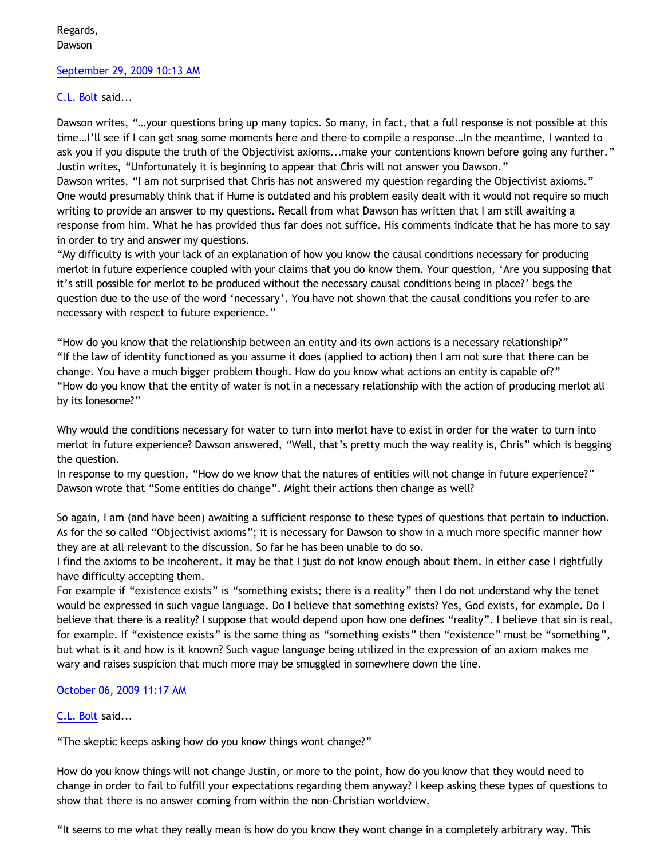Regards, Dawson

### [September 29, 2009 10:13 AM](http://bahnsenburner.blogspot.com/2009/09/1815915837573134071)

## [C.L. Bolt](http://www.blogger.com/profile/15797112064238146744) said...

Dawson writes, "…your questions bring up many topics. So many, in fact, that a full response is not possible at this time…I'll see if I can get snag some moments here and there to compile a response…In the meantime, I wanted to ask you if you dispute the truth of the Objectivist axioms...make your contentions known before going any further." Justin writes, "Unfortunately it is beginning to appear that Chris will not answer you Dawson." Dawson writes, "I am not surprised that Chris has not answered my question regarding the Objectivist axioms." One would presumably think that if Hume is outdated and his problem easily dealt with it would not require so much writing to provide an answer to my questions. Recall from what Dawson has written that I am still awaiting a response from him. What he has provided thus far does not suffice. His comments indicate that he has more to say in order to try and answer my questions.

"My difficulty is with your lack of an explanation of how you know the causal conditions necessary for producing merlot in future experience coupled with your claims that you do know them. Your question, 'Are you supposing that it's still possible for merlot to be produced without the necessary causal conditions being in place?' begs the question due to the use of the word 'necessary'. You have not shown that the causal conditions you refer to are necessary with respect to future experience."

"How do you know that the relationship between an entity and its own actions is a necessary relationship?" "If the law of identity functioned as you assume it does (applied to action) then I am not sure that there can be change. You have a much bigger problem though. How do you know what actions an entity is capable of?" "How do you know that the entity of water is not in a necessary relationship with the action of producing merlot all by its lonesome?"

Why would the conditions necessary for water to turn into merlot have to exist in order for the water to turn into merlot in future experience? Dawson answered, "Well, that's pretty much the way reality is, Chris" which is begging the question.

In response to my question, "How do we know that the natures of entities will not change in future experience?" Dawson wrote that "Some entities do change". Might their actions then change as well?

So again, I am (and have been) awaiting a sufficient response to these types of questions that pertain to induction. As for the so called "Objectivist axioms"; it is necessary for Dawson to show in a much more specific manner how they are at all relevant to the discussion. So far he has been unable to do so.

I find the axioms to be incoherent. It may be that I just do not know enough about them. In either case I rightfully have difficulty accepting them.

For example if "existence exists" is "something exists; there is a reality" then I do not understand why the tenet would be expressed in such vague language. Do I believe that something exists? Yes, God exists, for example. Do I believe that there is a reality? I suppose that would depend upon how one defines "reality". I believe that sin is real, for example. If "existence exists" is the same thing as "something exists" then "existence" must be "something", but what is it and how is it known? Such vague language being utilized in the expression of an axiom makes me wary and raises suspicion that much more may be smuggled in somewhere down the line.

## [October 06, 2009 11:17 AM](http://bahnsenburner.blogspot.com/2009/09/4731109560490145187)

## [C.L. Bolt](http://www.blogger.com/profile/15797112064238146744) said...

"The skeptic keeps asking how do you know things wont change?"

How do you know things will not change Justin, or more to the point, how do you know that they would need to change in order to fail to fulfill your expectations regarding them anyway? I keep asking these types of questions to show that there is no answer coming from within the non-Christian worldview.

"It seems to me what they really mean is how do you know they wont change in a completely arbitrary way. This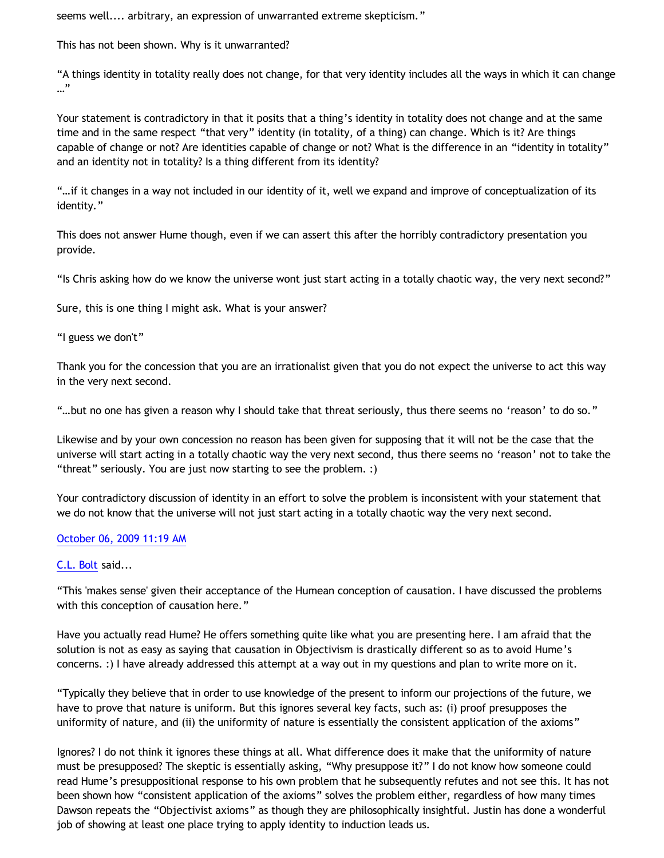seems well.... arbitrary, an expression of unwarranted extreme skepticism."

This has not been shown. Why is it unwarranted?

"A things identity in totality really does not change, for that very identity includes all the ways in which it can change …"

Your statement is contradictory in that it posits that a thing's identity in totality does not change and at the same time and in the same respect "that very" identity (in totality, of a thing) can change. Which is it? Are things capable of change or not? Are identities capable of change or not? What is the difference in an "identity in totality" and an identity not in totality? Is a thing different from its identity?

"…if it changes in a way not included in our identity of it, well we expand and improve of conceptualization of its identity."

This does not answer Hume though, even if we can assert this after the horribly contradictory presentation you provide.

"Is Chris asking how do we know the universe wont just start acting in a totally chaotic way, the very next second?"

Sure, this is one thing I might ask. What is your answer?

"I guess we don't"

Thank you for the concession that you are an irrationalist given that you do not expect the universe to act this way in the very next second.

"…but no one has given a reason why I should take that threat seriously, thus there seems no 'reason' to do so."

Likewise and by your own concession no reason has been given for supposing that it will not be the case that the universe will start acting in a totally chaotic way the very next second, thus there seems no 'reason' not to take the "threat" seriously. You are just now starting to see the problem. :)

Your contradictory discussion of identity in an effort to solve the problem is inconsistent with your statement that we do not know that the universe will not just start acting in a totally chaotic way the very next second.

# [October 06, 2009 11:19 AM](http://bahnsenburner.blogspot.com/2009/09/4285329669094718084)

# [C.L. Bolt](http://www.blogger.com/profile/15797112064238146744) said...

"This 'makes sense' given their acceptance of the Humean conception of causation. I have discussed the problems with this conception of causation here."

Have you actually read Hume? He offers something quite like what you are presenting here. I am afraid that the solution is not as easy as saying that causation in Objectivism is drastically different so as to avoid Hume's concerns. :) I have already addressed this attempt at a way out in my questions and plan to write more on it.

"Typically they believe that in order to use knowledge of the present to inform our projections of the future, we have to prove that nature is uniform. But this ignores several key facts, such as: (i) proof presupposes the uniformity of nature, and (ii) the uniformity of nature is essentially the consistent application of the axioms"

Ignores? I do not think it ignores these things at all. What difference does it make that the uniformity of nature must be presupposed? The skeptic is essentially asking, "Why presuppose it?" I do not know how someone could read Hume's presuppositional response to his own problem that he subsequently refutes and not see this. It has not been shown how "consistent application of the axioms" solves the problem either, regardless of how many times Dawson repeats the "Objectivist axioms" as though they are philosophically insightful. Justin has done a wonderful job of showing at least one place trying to apply identity to induction leads us.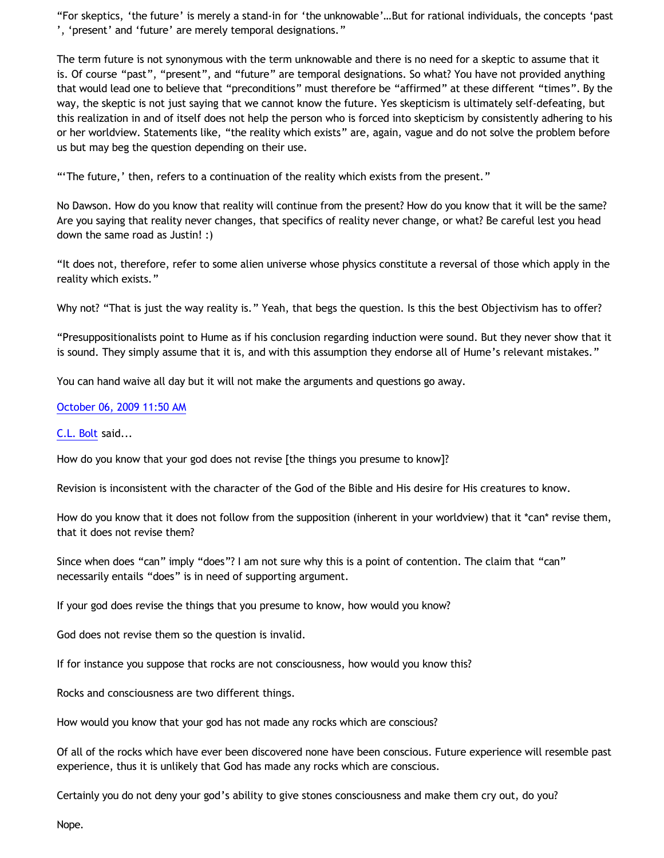"For skeptics, 'the future' is merely a stand-in for 'the unknowable'…But for rational individuals, the concepts 'past ', 'present' and 'future' are merely temporal designations."

The term future is not synonymous with the term unknowable and there is no need for a skeptic to assume that it is. Of course "past", "present", and "future" are temporal designations. So what? You have not provided anything that would lead one to believe that "preconditions" must therefore be "affirmed" at these different "times". By the way, the skeptic is not just saying that we cannot know the future. Yes skepticism is ultimately self-defeating, but this realization in and of itself does not help the person who is forced into skepticism by consistently adhering to his or her worldview. Statements like, "the reality which exists" are, again, vague and do not solve the problem before us but may beg the question depending on their use.

"'The future,' then, refers to a continuation of the reality which exists from the present."

No Dawson. How do you know that reality will continue from the present? How do you know that it will be the same? Are you saying that reality never changes, that specifics of reality never change, or what? Be careful lest you head down the same road as Justin! :)

"It does not, therefore, refer to some alien universe whose physics constitute a reversal of those which apply in the reality which exists."

Why not? "That is just the way reality is." Yeah, that begs the question. Is this the best Objectivism has to offer?

"Presuppositionalists point to Hume as if his conclusion regarding induction were sound. But they never show that it is sound. They simply assume that it is, and with this assumption they endorse all of Hume's relevant mistakes."

You can hand waive all day but it will not make the arguments and questions go away.

### [October 06, 2009 11:50 AM](http://bahnsenburner.blogspot.com/2009/09/129414034172161919)

#### [C.L. Bolt](http://www.blogger.com/profile/15797112064238146744) said...

How do you know that your god does not revise [the things you presume to know]?

Revision is inconsistent with the character of the God of the Bible and His desire for His creatures to know.

How do you know that it does not follow from the supposition (inherent in your worldview) that it \*can\* revise them, that it does not revise them?

Since when does "can" imply "does"? I am not sure why this is a point of contention. The claim that "can" necessarily entails "does" is in need of supporting argument.

If your god does revise the things that you presume to know, how would you know?

God does not revise them so the question is invalid.

If for instance you suppose that rocks are not consciousness, how would you know this?

Rocks and consciousness are two different things.

How would you know that your god has not made any rocks which are conscious?

Of all of the rocks which have ever been discovered none have been conscious. Future experience will resemble past experience, thus it is unlikely that God has made any rocks which are conscious.

Certainly you do not deny your god's ability to give stones consciousness and make them cry out, do you?

Nope.